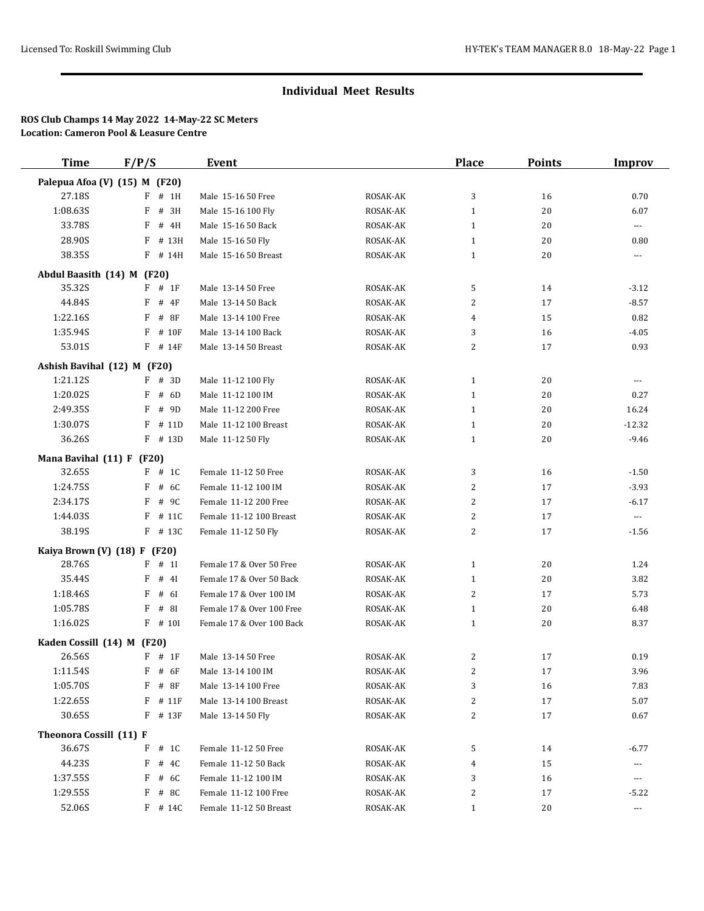| <b>Time</b>                    | F/P/S                         | <b>Event</b>              |          | <b>Place</b>   | <b>Points</b> | <b>Improv</b>        |
|--------------------------------|-------------------------------|---------------------------|----------|----------------|---------------|----------------------|
|                                | Palepua Afoa (V) (15) M (F20) |                           |          |                |               |                      |
| 27.18S                         | # 1H<br>F                     | Male 15-16 50 Free        | ROSAK-AK | 3              | 16            | 0.70                 |
| 1:08.63S                       | F<br># 3H                     | Male 15-16 100 Fly        | ROSAK-AK | 1              | 20            | 6.07                 |
| 33.78S                         | F<br># 4H                     | Male 15-16 50 Back        | ROSAK-AK | $\mathbf{1}$   | 20            | $\cdots$             |
| 28.90S                         | # 13H<br>F                    | Male 15-16 50 Fly         | ROSAK-AK | $\mathbf{1}$   | 20            | 0.80                 |
| 38.35S                         | F # 14H                       | Male 15-16 50 Breast      | ROSAK-AK | $\mathbf{1}$   | 20            | $\cdots$             |
| Abdul Baasith (14) M (F20)     |                               |                           |          |                |               |                      |
| 35.32S                         | $F$ # 1F                      | Male 13-14 50 Free        | ROSAK-AK | 5              | 14            | $-3.12$              |
| 44.84S                         | # 4F<br>F                     | Male 13-14 50 Back        | ROSAK-AK | 2              | 17            | $-8.57$              |
| 1:22.16S                       | F<br># 8F                     | Male 13-14 100 Free       | ROSAK-AK | 4              | 15            | 0.82                 |
| 1:35.94S                       | F<br># 10F                    | Male 13-14 100 Back       | ROSAK-AK | 3              | 16            | $-4.05$              |
| 53.01S                         | $F$ # 14F                     | Male 13-14 50 Breast      | ROSAK-AK | 2              | 17            | 0.93                 |
| Ashish Bavihal (12) M (F20)    |                               |                           |          |                |               |                      |
| 1:21.12S                       | $F$ # 3D                      | Male 11-12 100 Fly        | ROSAK-AK | 1              | 20            | $---$                |
| 1:20.02S                       | F<br># 6D                     | Male 11-12 100 IM         | ROSAK-AK | 1              | 20            | 0.27                 |
| 2:49.35S                       | # 9D<br>F                     | Male 11-12 200 Free       | ROSAK-AK | $\mathbf{1}$   | 20            | 16.24                |
| 1:30.07S                       | # 11D<br>F                    | Male 11-12 100 Breast     | ROSAK-AK | $\mathbf{1}$   | 20            | $-12.32$             |
| 36.26S                         | $F$ # 13D                     | Male 11-12 50 Fly         | ROSAK-AK | $\mathbf{1}$   | 20            | $-9.46$              |
| Mana Bavihal (11) F (F20)      |                               |                           |          |                |               |                      |
| 32.65S                         | $F$ # 1C                      | Female 11-12 50 Free      | ROSAK-AK | 3              | 16            | $-1.50$              |
| 1:24.75S                       | # 6C<br>F                     | Female 11-12 100 IM       | ROSAK-AK | 2              | 17            | $-3.93$              |
| 2:34.17S                       | F<br># 9C                     | Female 11-12 200 Free     | ROSAK-AK | $\overline{2}$ | 17            | $-6.17$              |
| 1:44.03S                       | # 11C<br>F                    | Female 11-12 100 Breast   | ROSAK-AK | 2              | 17            | $\cdots$             |
| 38.19S                         | $F$ # 13C                     | Female 11-12 50 Fly       | ROSAK-AK | $\overline{2}$ | 17            | $-1.56$              |
|                                | Kaiya Brown (V) (18) F (F20)  |                           |          |                |               |                      |
| 28.76S                         | # 1<br>F                      | Female 17 & Over 50 Free  | ROSAK-AK | 1              | 20            | 1.24                 |
| 35.44S                         | # 4I<br>F                     | Female 17 & Over 50 Back  | ROSAK-AK | $\mathbf{1}$   | 20            | 3.82                 |
| 1:18.46S                       | F<br># 6I                     | Female 17 & Over 100 IM   | ROSAK-AK | 2              | 17            | 5.73                 |
| 1:05.78S                       | # 8I<br>F                     | Female 17 & Over 100 Free | ROSAK-AK | 1              | 20            | 6.48                 |
| 1:16.02S                       | $F$ # 10I                     | Female 17 & Over 100 Back | ROSAK-AK | $\mathbf{1}$   | 20            | 8.37                 |
| Kaden Cossill (14) M (F20)     |                               |                           |          |                |               |                      |
| 26.56S                         | $F$ # 1F                      | Male 13-14 50 Free        | ROSAK-AK | 2              | 17            | 0.19                 |
| 1:11.54S                       | $F$ # 6F                      | Male 13-14 100 IM         | ROSAK-AK | 2              | 17            | 3.96                 |
| 1:05.70S                       | $F$ # 8F                      | Male 13-14 100 Free       | ROSAK-AK | 3              | 16            | 7.83                 |
| 1:22.65S                       | $F$ # 11 $F$                  | Male 13-14 100 Breast     | ROSAK-AK | 2              | 17            | 5.07                 |
| 30.65S                         | $F$ # 13 $F$                  | Male 13-14 50 Fly         | ROSAK-AK | 2              | 17            | 0.67                 |
| <b>Theonora Cossill (11) F</b> |                               |                           |          |                |               |                      |
| 36.67S                         | # 1C<br>F                     | Female 11-12 50 Free      | ROSAK-AK | 5              | 14            | $-6.77$              |
| 44.23S                         | F<br># 4C                     | Female 11-12 50 Back      | ROSAK-AK | 4              | 15            | ---                  |
| 1:37.55S                       | # 6C<br>F                     | Female 11-12 100 IM       | ROSAK-AK | 3              | 16            | ---                  |
| 1:29.55S                       | # 8C<br>F                     | Female 11-12 100 Free     | ROSAK-AK | 2              | 17            | $-5.22$              |
| 52.06S                         | $F$ # 14C                     | Female 11-12 50 Breast    | ROSAK-AK | $\mathbf{1}$   | 20            | $\scriptstyle\cdots$ |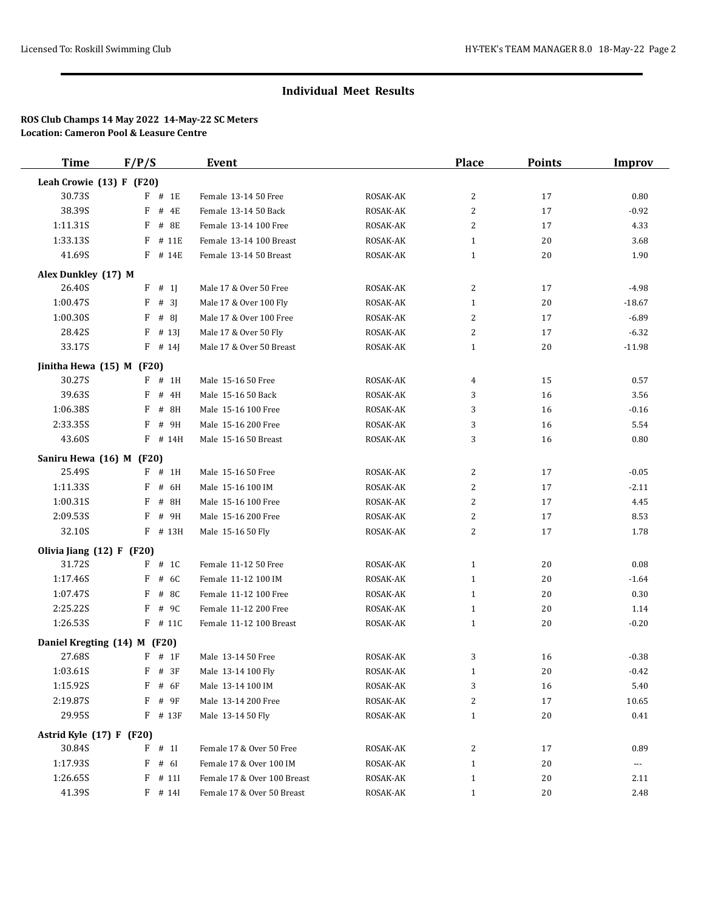| <b>Time</b>                         | F/P/S       | Event                       |                 | <b>Place</b>   | <b>Points</b> | <b>Improv</b> |
|-------------------------------------|-------------|-----------------------------|-----------------|----------------|---------------|---------------|
| Leah Crowie (13) F (F20)            |             |                             |                 |                |               |               |
| 30.73S                              | $F$ # 1E    | Female 13-14 50 Free        | ROSAK-AK        | 2              | 17            | 0.80          |
| 38.39S                              | F<br># 4E   | Female 13-14 50 Back        | ROSAK-AK        | $\overline{2}$ | 17            | $-0.92$       |
| 1:11.31S                            | F<br># 8E   | Female 13-14 100 Free       | ROSAK-AK        | 2              | 17            | 4.33          |
| 1:33.13S                            | # 11E<br>F  | Female 13-14 100 Breast     | ROSAK-AK        | 1              | 20            | 3.68          |
| 41.69S                              | F # 14E     | Female 13-14 50 Breast      | ROSAK-AK        | $\mathbf{1}$   | 20            | 1.90          |
| Alex Dunkley (17) M                 |             |                             |                 |                |               |               |
| 26.40S                              | F<br># 1    | Male 17 & Over 50 Free      | ROSAK-AK        | 2              | 17            | $-4.98$       |
| 1:00.47S                            | # 3<br>F    | Male 17 & Over 100 Fly      | <b>ROSAK-AK</b> | 1              | 20            | $-18.67$      |
| 1:00.30S                            | F<br># 8J   | Male 17 & Over 100 Free     | ROSAK-AK        | $\overline{2}$ | 17            | $-6.89$       |
| 28.42S                              | F<br># 13]  | Male 17 & Over 50 Fly       | ROSAK-AK        | 2              | 17            | $-6.32$       |
| 33.17S                              | $F$ # 14]   | Male 17 & Over 50 Breast    | ROSAK-AK        | $\mathbf{1}$   | 20            | $-11.98$      |
|                                     |             |                             |                 |                |               |               |
| Jinitha Hewa (15) M (F20)<br>30.27S | $F$ # 1H    | Male 15-16 50 Free          | ROSAK-AK        | 4              | 15            | 0.57          |
| 39.63S                              | F<br># 4H   | Male 15-16 50 Back          | ROSAK-AK        | 3              | 16            | 3.56          |
| 1:06.38S                            | # 8H<br>F   | Male 15-16 100 Free         | ROSAK-AK        | 3              | 16            | $-0.16$       |
| 2:33.35S                            | # 9H<br>F   | Male 15-16 200 Free         | ROSAK-AK        | 3              | 16            | 5.54          |
| 43.60S                              | F<br># 14H  | Male 15-16 50 Breast        | ROSAK-AK        | 3              | 16            | 0.80          |
|                                     |             |                             |                 |                |               |               |
| Saniru Hewa (16) M (F20)            |             |                             |                 |                |               |               |
| 25.49S                              | F # 1H      | Male 15-16 50 Free          | ROSAK-AK        | 2              | 17            | $-0.05$       |
| 1:11.33S                            | # 6H<br>F   | Male 15-16 100 IM           | ROSAK-AK        | $\overline{2}$ | 17            | $-2.11$       |
| 1:00.31S                            | # 8H<br>F   | Male 15-16 100 Free         | ROSAK-AK        | 2              | 17            | 4.45          |
| 2:09.53S                            | # 9H<br>F   | Male 15-16 200 Free         | ROSAK-AK        | $\overline{c}$ | 17            | 8.53          |
| 32.10S                              | F # 13H     | Male 15-16 50 Fly           | ROSAK-AK        | 2              | 17            | 1.78          |
| Olivia Jiang $(12) F (F20)$         |             |                             |                 |                |               |               |
| 31.72S                              | F<br># 1C   | Female 11-12 50 Free        | ROSAK-AK        | $\mathbf{1}$   | 20            | 0.08          |
| 1:17.46S                            | # 6C<br>F   | Female 11-12 100 IM         | ROSAK-AK        | $\mathbf{1}$   | 20            | $-1.64$       |
| 1:07.47S                            | F<br># 8C   | Female 11-12 100 Free       | ROSAK-AK        | 1              | 20            | 0.30          |
| 2:25.22S                            | F<br># 9C   | Female 11-12 200 Free       | ROSAK-AK        | 1              | 20            | 1.14          |
| 1:26.53S                            | $F$ # 11C   | Female 11-12 100 Breast     | ROSAK-AK        | $\mathbf{1}$   | 20            | $-0.20$       |
| Daniel Kregting (14) M (F20)        |             |                             |                 |                |               |               |
| 27.68S                              | $F$ # 1F    | Male 13-14 50 Free          | ROSAK-AK        | 3              | 16            | $-0.38$       |
| 1:03.61S                            | $F$ # 3F    | Male 13-14 100 Fly          | ROSAK-AK        | -1             | 20            | $-0.42$       |
| 1:15.92S                            | $F$ # 6F    | Male 13-14 100 IM           | ROSAK-AK        | 3              | 16            | 5.40          |
| 2:19.87S                            | $F$ # 9 $F$ | Male 13-14 200 Free         | ROSAK-AK        | 2              | 17            | 10.65         |
| 29.95S                              | $F$ # 13F   | Male 13-14 50 Fly           | ROSAK-AK        | $\mathbf{1}$   | 20            | 0.41          |
| Astrid Kyle (17) F (F20)            |             |                             |                 |                |               |               |
| 30.84S                              | F # 1I      | Female 17 & Over 50 Free    | ROSAK-AK        | 2              | 17            | 0.89          |
| 1:17.93S                            | F<br># 6I   | Female 17 & Over 100 IM     | ROSAK-AK        | $\mathbf{1}$   | 20            | ---           |
| 1:26.65S                            | # 111<br>F  | Female 17 & Over 100 Breast | ROSAK-AK        | $\mathbf{1}$   | 20            | 2.11          |
| 41.39S                              | $F$ # 14I   | Female 17 & Over 50 Breast  | ROSAK-AK        | $\mathbf{1}$   | 20            | 2.48          |
|                                     |             |                             |                 |                |               |               |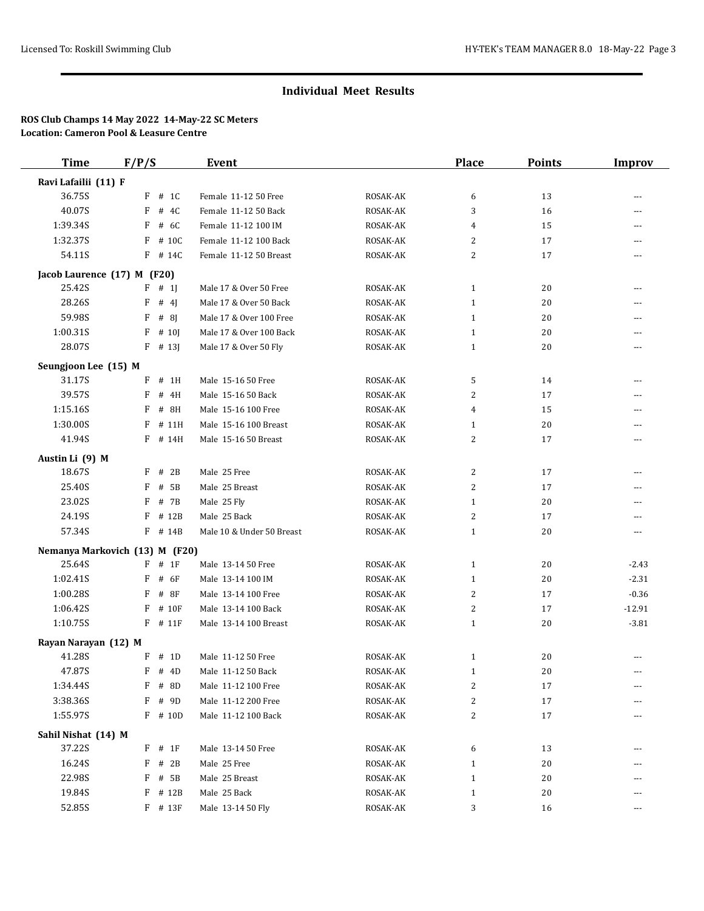| <b>Time</b>                    | F/P/S                          | <b>Event</b>              |          | <b>Place</b>      | <b>Points</b> | <b>Improv</b>  |
|--------------------------------|--------------------------------|---------------------------|----------|-------------------|---------------|----------------|
| Ravi Lafailii (11) F           |                                |                           |          |                   |               |                |
| 36.75S                         | $F$ # 1C                       | Female 11-12 50 Free      | ROSAK-AK | 6                 | 13            | $---$          |
| 40.07S                         | F<br># 4C                      | Female 11-12 50 Back      | ROSAK-AK | 3                 | 16            | $---$          |
| 1:39.34S                       | # 6C<br>F                      | Female 11-12 100 IM       | ROSAK-AK | 4                 | 15            | $---$          |
| 1:32.37S                       | # 10C<br>F                     | Female 11-12 100 Back     | ROSAK-AK | 2                 | 17            | $---$          |
| 54.11S                         | F # 14C                        | Female 11-12 50 Breast    | ROSAK-AK | 2                 | 17            | ---            |
|                                | Jacob Laurence (17) M (F20)    |                           |          |                   |               |                |
| 25.42S                         | $F$ # 1]                       | Male 17 & Over 50 Free    | ROSAK-AK | 1                 | 20            | $---$          |
| 28.26S                         | F<br># 4                       | Male 17 & Over 50 Back    | ROSAK-AK | 1                 | 20            | ---            |
| 59.98S                         | F<br>#8                        | Male 17 & Over 100 Free   | ROSAK-AK | 1                 | 20            | ---            |
| 1:00.31S                       | F<br># 10                      | Male 17 & Over 100 Back   | ROSAK-AK | $\mathbf{1}$      | 20            | ---            |
| 28.07S                         | $F$ # 13]                      | Male 17 & Over 50 Fly     | ROSAK-AK | $\mathbf{1}$      | 20            | ---            |
| Seungjoon Lee (15) M           |                                |                           |          |                   |               |                |
| 31.17S                         | F<br>$#$ 1H                    | Male 15-16 50 Free        | ROSAK-AK | 5                 | 14            | ---            |
| 39.57S                         | F<br># 4H                      | Male 15-16 50 Back        | ROSAK-AK | 2                 | 17            | ---            |
| 1:15.16S                       | # 8H<br>F                      | Male 15-16 100 Free       | ROSAK-AK | 4                 | 15            | ---            |
| 1:30.00S                       | # 11H<br>F                     | Male 15-16 100 Breast     | ROSAK-AK | 1                 | 20            | $---$          |
| 41.94S                         | # 14H<br>F                     | Male 15-16 50 Breast      | ROSAK-AK | 2                 | 17            | $---$          |
| Austin Li (9) M                |                                |                           |          |                   |               |                |
| 18.67S                         | # 2B<br>F                      | Male 25 Free              | ROSAK-AK | $\overline{c}$    | 17            | $---$          |
| 25.40S                         | # $5B$<br>F                    | Male 25 Breast            | ROSAK-AK | 2                 | 17            | ---            |
| 23.02S                         | # 7B<br>F                      | Male 25 Fly               | ROSAK-AK | 1                 | 20            | $---$          |
| 24.19S                         | # 12B<br>F                     | Male 25 Back              | ROSAK-AK | $\overline{c}$    | 17            | $\overline{a}$ |
| 57.34S                         | F # 14B                        | Male 10 & Under 50 Breast | ROSAK-AK | 1                 | 20            | $\cdots$       |
|                                | Nemanya Markovich (13) M (F20) |                           |          |                   |               |                |
| 25.64S                         | # 1F<br>F                      | Male 13-14 50 Free        | ROSAK-AK | 1                 | 20            | $-2.43$        |
| 1:02.41S                       | $\,$ F<br># 6F                 | Male 13-14 100 IM         | ROSAK-AK | 1                 | 20            | $-2.31$        |
| 1:00.28S                       | F<br># 8F                      | Male 13-14 100 Free       | ROSAK-AK | 2                 | 17            | $-0.36$        |
| 1:06.42S                       | F<br># 10F                     | Male 13-14 100 Back       | ROSAK-AK | $\overline{c}$    | 17            | $-12.91$       |
| 1:10.75S                       | $F$ # 11 $F$                   | Male 13-14 100 Breast     | ROSAK-AK | $\mathbf{1}$      | 20            | $-3.81$        |
|                                |                                |                           |          |                   |               |                |
| Rayan Narayan (12) M<br>41.28S | $F$ # 1D                       | Male 11-12 50 Free        | ROSAK-AK | 1                 | 20            | $---$          |
| 47.87S                         | $F$ # 4D                       | Male 11-12 50 Back        | ROSAK-AK | 1                 | 20            |                |
| 1:34.44S                       | $F$ # 8D                       | Male 11-12 100 Free       | ROSAK-AK | 2                 | 17            | ---            |
| 3:38.36S                       | # 9D<br>F                      | Male 11-12 200 Free       | ROSAK-AK | 2                 | 17            |                |
| 1:55.97S                       | $F$ # 10D                      | Male 11-12 100 Back       | ROSAK-AK | 2                 | 17            |                |
|                                |                                |                           |          |                   |               |                |
| Sahil Nishat (14) M<br>37.22S  | $F$ # 1F                       | Male 13-14 50 Free        | ROSAK-AK |                   |               |                |
| 16.24S                         | # 2B<br>F                      | Male 25 Free              | ROSAK-AK | 6<br>$\mathbf{1}$ | 13<br>20      |                |
| 22.98S                         | # 5B<br>F                      | Male 25 Breast            | ROSAK-AK | $\mathbf{1}$      | 20            |                |
| 19.84S                         | $F$ # 12B                      | Male 25 Back              | ROSAK-AK | $\mathbf{1}$      | 20            |                |
| 52.85S                         | $F$ # 13 $F$                   | Male 13-14 50 Fly         | ROSAK-AK | 3                 | 16            | ---            |
|                                |                                |                           |          |                   |               |                |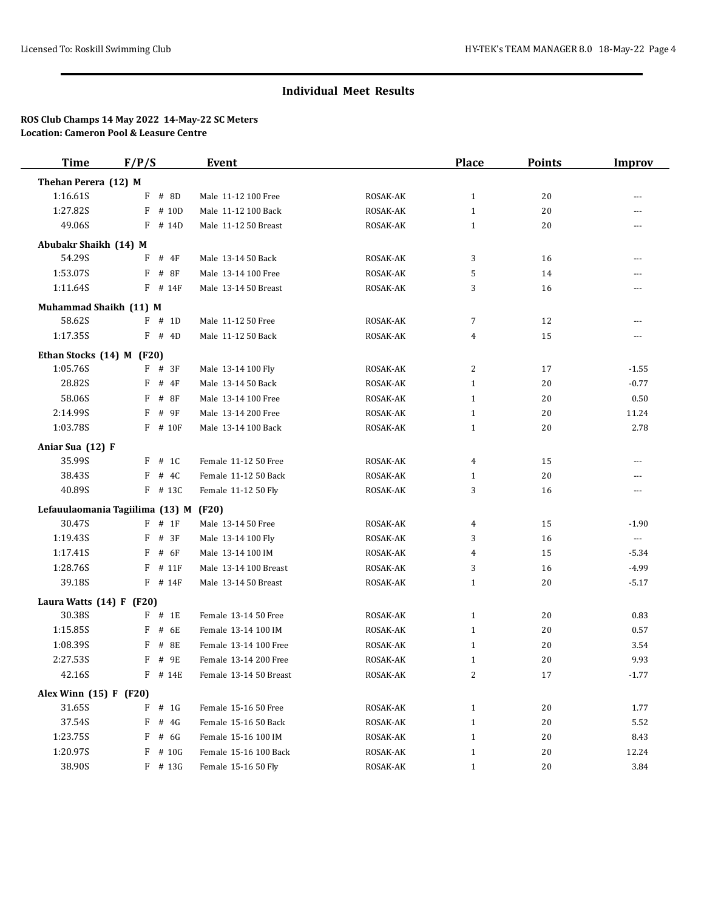| <b>Time</b>                     | F/P/S |           | <b>Event</b>           |          | <b>Place</b> | <b>Points</b> | <b>Improv</b>        |
|---------------------------------|-------|-----------|------------------------|----------|--------------|---------------|----------------------|
| Thehan Perera (12) M            |       |           |                        |          |              |               |                      |
| 1:16.61S                        | F     | # 8D      | Male 11-12 100 Free    | ROSAK-AK | $\mathbf{1}$ | 20            | $---$                |
| 1:27.82S                        | F     | # 10D     | Male 11-12 100 Back    | ROSAK-AK | $\mathbf{1}$ | 20            | $---$                |
| 49.06S                          |       | $F$ # 14D | Male 11-12 50 Breast   | ROSAK-AK | $\mathbf{1}$ | 20            | $---$                |
| Abubakr Shaikh (14) M           |       |           |                        |          |              |               |                      |
| 54.29S                          | F     | # 4F      | Male 13-14 50 Back     | ROSAK-AK | 3            | 16            | $---$                |
| 1:53.07S                        | F     | #8F       | Male 13-14 100 Free    | ROSAK-AK | 5            | 14            |                      |
| 1:11.64S                        |       | $F$ # 14F | Male 13-14 50 Breast   | ROSAK-AK | 3            | 16            | ---                  |
| Muhammad Shaikh (11) M          |       |           |                        |          |              |               |                      |
| 58.62S                          |       | $F$ # 1D  | Male 11-12 50 Free     | ROSAK-AK | 7            | 12            | $---$                |
| 1:17.35S                        |       | $F$ # 4D  | Male 11-12 50 Back     | ROSAK-AK | 4            | 15            | $---$                |
| Ethan Stocks (14) M (F20)       |       |           |                        |          |              |               |                      |
| 1:05.76S                        |       | $F$ # 3F  | Male 13-14 100 Fly     | ROSAK-AK | 2            | 17            | $-1.55$              |
| 28.82S                          | F     | # 4F      | Male 13-14 50 Back     | ROSAK-AK | $\mathbf{1}$ | 20            | $-0.77$              |
| 58.06S                          | F     | # 8F      | Male 13-14 100 Free    | ROSAK-AK | $\mathbf{1}$ | 20            | 0.50                 |
| 2:14.99S                        | F     | # 9F      | Male 13-14 200 Free    | ROSAK-AK | $\mathbf{1}$ | 20            | 11.24                |
| 1:03.78S                        |       | $F$ # 10F | Male 13-14 100 Back    | ROSAK-AK | $\mathbf{1}$ | 20            | 2.78                 |
| Aniar Sua (12) F                |       |           |                        |          |              |               |                      |
| 35.99S                          |       | $F$ # 1C  | Female 11-12 50 Free   | ROSAK-AK | 4            | 15            | ---                  |
| 38.43S                          |       | $F$ # 4C  | Female 11-12 50 Back   | ROSAK-AK | 1            | 20            | ---                  |
| 40.89S                          |       | F # 13C   | Female 11-12 50 Fly    | ROSAK-AK | 3            | 16            | ---                  |
| Lefauulaomania Tagiilima (13) M |       |           | (F20)                  |          |              |               |                      |
| 30.47S                          |       | $F$ # 1F  | Male 13-14 50 Free     | ROSAK-AK | 4            | 15            | $-1.90$              |
| 1:19.43S                        |       | $F$ # 3F  | Male 13-14 100 Fly     | ROSAK-AK | 3            | 16            | $\scriptstyle\cdots$ |
| 1:17.41S                        | F     | # 6F      | Male 13-14 100 IM      | ROSAK-AK | 4            | 15            | $-5.34$              |
| 1:28.76S                        | F     | # 11F     | Male 13-14 100 Breast  | ROSAK-AK | 3            | 16            | $-4.99$              |
| 39.18S                          |       | $F$ # 14F | Male 13-14 50 Breast   | ROSAK-AK | $\mathbf{1}$ | 20            | $-5.17$              |
| Laura Watts (14) F (F20)        |       |           |                        |          |              |               |                      |
| 30.38S                          |       | $F$ # 1E  | Female 13-14 50 Free   | ROSAK-AK | $\mathbf{1}$ | 20            | 0.83                 |
| 1:15.85S                        | F     | # 6E      | Female 13-14 100 IM    | ROSAK-AK | $\mathbf{1}$ | 20            | 0.57                 |
| 1:08.395                        | F     | # 8E      | Female 13-14 100 Free  | ROSAK-AK | $\mathbf{1}$ | 20            | 3.54                 |
| 2:27.53S                        | F     | # 9E      | Female 13-14 200 Free  | ROSAK-AK | $\mathbf{1}$ | 20            | 9.93                 |
| 42.16S                          |       | $F$ # 14E | Female 13-14 50 Breast | ROSAK-AK | 2            | 17            | $-1.77$              |
| Alex Winn (15) F (F20)          |       |           |                        |          |              |               |                      |
| 31.65S                          | F     | # 1G      | Female 15-16 50 Free   | ROSAK-AK | $\mathbf{1}$ | 20            | 1.77                 |
| 37.54S                          | F     | # $4G$    | Female 15-16 50 Back   | ROSAK-AK | $\mathbf{1}$ | 20            | 5.52                 |
| 1:23.75S                        | F     | # 6G      | Female 15-16 100 IM    | ROSAK-AK | $\mathbf{1}$ | 20            | 8.43                 |
| 1:20.97S                        |       | $F$ # 10G | Female 15-16 100 Back  | ROSAK-AK | $\mathbf{1}$ | 20            | 12.24                |
| 38.90S                          |       | $F$ # 13G | Female 15-16 50 Fly    | ROSAK-AK | $\mathbf{1}$ | 20            | 3.84                 |